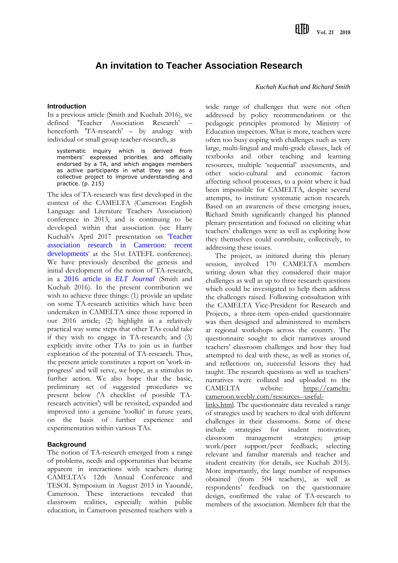# **An invitation to Teacher Association Research**

#### **Introduction**

In a previous article (Smith and Kuchah 2016), we defined 'Teacher Association Research' – henceforth 'TA-research' – by analogy with individual or small group teacher-research, as

systematic inquiry which is derived from members' expressed priorities and officially endorsed by a TA, and which engages members as active participants in what they see as a collective project to improve understanding and practice. (p. 215)

The idea of TA-research was first developed in the context of the CAMELTA (Cameroon English Language and Literature Teachers Association) conference in 2013, and is continuing to be developed within that association (see Harry Kuchah's April 2017 presentation on ['Teacher](https://www.youtube.com/watch?time_continue=3&v=bBXIaztCnjI)  [association research in Cameroon: recent](https://www.youtube.com/watch?time_continue=3&v=bBXIaztCnjI)  [developments'](https://www.youtube.com/watch?time_continue=3&v=bBXIaztCnjI) at the 51st IATEFL conference). We have previously described the genesis and initial development of the notion of TA-research, in a [2016 article in](https://academic.oup.com/eltj/article/70/2/212/2397901?guestAccessKey=99e0a931-7619-4d67-ac11-60c73308a437) *ELT Journal* (Smith and Kuchah 2016). In the present contribution we wish to achieve three things: (1) provide an update on some TA-research activities which have been undertaken in CAMELTA since those reported in our 2016 article; (2) highlight in a relatively practical way some steps that other TAs could take if they wish to engage in TA-research; and (3) explicitly invite other TAs to join us in further exploration of the potential of TA-research. Thus, the present article constitutes a report on 'work-inprogress' and will serve, we hope, as a stimulus to further action. We also hope that the basic, preliminary set of suggested procedures we present below ('A checklist of possible TAresearch activities') will be revisited, expanded and improved into a genuine 'toolkit' in future years, on the basis of further experience and experimentation within various TAs.

## **Background**

The notion of TA-research emerged from a range of problems, needs and opportunities that became apparent in interactions with teachers during CAMELTA's 12th Annual Conference and TESOL Symposium in August 2013 in Yaoundé, Cameroon. These interactions revealed that classroom realities, especially within public education, in Cameroon presented teachers with a

## *Kuchah Kuchah and Richard Smith*

wide range of challenges that were not often addressed by policy recommendations or the pedagogic principles promoted by Ministry of Education inspectors. What is more, teachers were often too busy coping with challenges such as very large, multi-lingual and multi-grade classes, lack of textbooks and other teaching and learning resources, multiple 'sequential' assessments, and other socio-cultural and economic factors affecting school processes, to a point where it had been impossible for CAMELTA, despite several attempts, to institute systematic action research. Based on an awareness of these emerging issues, Richard Smith significantly changed his planned plenary presentation and focused on eliciting what teachers' challenges were as well as exploring how they themselves could contribute, collectively, to addressing these issues.

The project, as initiated during this plenary session, involved 170 CAMELTA members writing down what they considered their major challenges as well as up to three research questions which could be investigated to help them address the challenges raised. Following consultation with the CAMELTA Vice-President for Research and Projects, a three-item open-ended questionnaire was then designed and administered to members at regional workshops across the country. The questionnaire sought to elicit narratives around teachers' classroom challenges and how they had attempted to deal with these, as well as stories of, and reflections on, successful lessons they had taught. The research questions as well as teachers' narratives were collated and uploaded to the CAMELTA website: [https://camelta](https://camelta-cameroon.weebly.com/resources--useful-links.html)[cameroon.weebly.com/resources--useful-](https://camelta-cameroon.weebly.com/resources--useful-links.html)

[links.html.](https://camelta-cameroon.weebly.com/resources--useful-links.html) The questionnaire data revealed a range of strategies used by teachers to deal with different challenges in their classrooms. Some of these include strategies for student motivation; classroom management strategies; group work/peer support/peer feedback; selecting relevant and familiar materials and teacher and student creativity (for details, see Kuchah 2015). More importantly, the large number of responses obtained (from 504 teachers), as well as respondents' feedback on the questionnaire design, confirmed the value of TA-research to members of the association. Members felt that the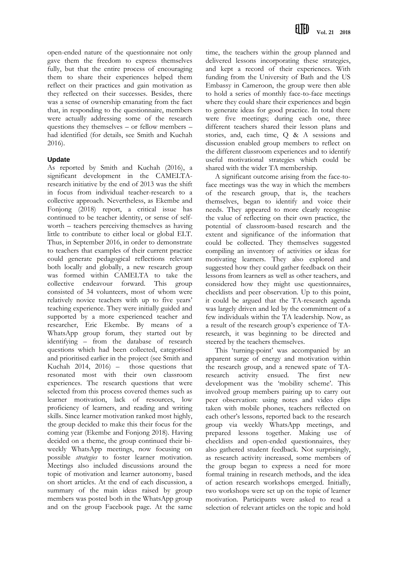open-ended nature of the questionnaire not only gave them the freedom to express themselves fully, but that the entire process of encouraging them to share their experiences helped them reflect on their practices and gain motivation as they reflected on their successes. Besides, there was a sense of ownership emanating from the fact that, in responding to the questionnaire, members were actually addressing some of the research questions they themselves – or fellow members – had identified (for details, see Smith and Kuchah 2016).

## **Update**

As reported by Smith and Kuchah (2016), a significant development in the CAMELTAresearch initiative by the end of 2013 was the shift in focus from individual teacher-research to a collective approach. Nevertheless, as Ekembe and Fonjong (2018) report, a critical issue has continued to be teacher identity, or sense of selfworth – teachers perceiving themselves as having little to contribute to either local or global ELT. Thus, in September 2016, in order to demonstrate to teachers that examples of their current practice could generate pedagogical reflections relevant both locally and globally, a new research group was formed within CAMELTA to take the collective endeavour forward. This group consisted of 34 volunteers, most of whom were relatively novice teachers with up to five years' teaching experience. They were initially guided and supported by a more experienced teacher and researcher, Eric Ekembe. By means of a WhatsApp group forum, they started out by identifying – from the database of research questions which had been collected, categorised and prioritised earlier in the project (see Smith and Kuchah 2014, 2016) – those questions that resonated most with their own classroom experiences. The research questions that were selected from this process covered themes such as learner motivation, lack of resources, low proficiency of learners, and reading and writing skills. Since learner motivation ranked most highly, the group decided to make this their focus for the coming year (Ekembe and Fonjong 2018). Having decided on a theme, the group continued their biweekly WhatsApp meetings, now focusing on possible *strategies* to foster learner motivation. Meetings also included discussions around the topic of motivation and learner autonomy, based on short articles. At the end of each discussion, a summary of the main ideas raised by group members was posted both in the WhatsApp group and on the group Facebook page. At the same

time, the teachers within the group planned and delivered lessons incorporating these strategies, and kept a record of their experiences. With funding from the University of Bath and the US Embassy in Cameroon, the group were then able to hold a series of monthly face-to-face meetings where they could share their experiences and begin to generate ideas for good practice. In total there were five meetings; during each one, three different teachers shared their lesson plans and stories, and, each time, Q & A sessions and discussion enabled group members to reflect on the different classroom experiences and to identify useful motivational strategies which could be shared with the wider TA membership.

A significant outcome arising from the face-toface meetings was the way in which the members of the research group, that is, the teachers themselves, began to identify and voice their needs. They appeared to more clearly recognise the value of reflecting on their own practice, the potential of classroom-based research and the extent and significance of the information that could be collected. They themselves suggested compiling an inventory of activities or ideas for motivating learners. They also explored and suggested how they could gather feedback on their lessons from learners as well as other teachers, and considered how they might use questionnaires, checklists and peer observation. Up to this point, it could be argued that the TA-research agenda was largely driven and led by the commitment of a few individuals within the TA leadership. Now, as a result of the research group's experience of TAresearch, it was beginning to be directed and steered by the teachers themselves.

This 'turning-point' was accompanied by an apparent surge of energy and motivation within the research group, and a renewed spate of TAresearch activity ensued. The first new development was the 'mobility scheme'. This involved group members pairing up to carry out peer observation: using notes and video clips taken with mobile phones, teachers reflected on each other's lessons, reported back to the research group via weekly WhatsApp meetings, and prepared lessons together. Making use of checklists and open-ended questionnaires, they also gathered student feedback. Not surprisingly, as research activity increased, some members of the group began to express a need for more formal training in research methods, and the idea of action research workshops emerged. Initially, two workshops were set up on the topic of learner motivation. Participants were asked to read a selection of relevant articles on the topic and hold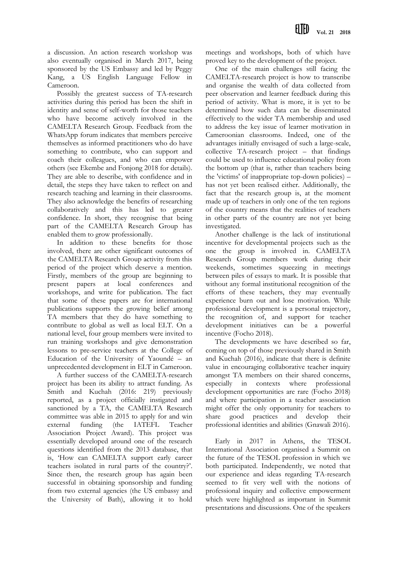a discussion. An action research workshop was also eventually organised in March 2017, being sponsored by the US Embassy and led by Peggy Kang, a US English Language Fellow in Cameroon.

Possibly the greatest success of TA-research activities during this period has been the shift in identity and sense of self-worth for those teachers who have become actively involved in the CAMELTA Research Group. Feedback from the WhatsApp forum indicates that members perceive themselves as informed practitioners who do have something to contribute, who can support and coach their colleagues, and who can empower others (see Ekembe and Fonjong 2018 for details). They are able to describe, with confidence and in detail, the steps they have taken to reflect on and research teaching and learning in their classrooms. They also acknowledge the benefits of researching collaboratively and this has led to greater confidence. In short, they recognise that being part of the CAMELTA Research Group has enabled them to grow professionally.

In addition to these benefits for those involved, there are other significant outcomes of the CAMELTA Research Group activity from this period of the project which deserve a mention. Firstly, members of the group are beginning to present papers at local conferences and workshops, and write for publication. The fact that some of these papers are for international publications supports the growing belief among TA members that they do have something to contribute to global as well as local ELT. On a national level, four group members were invited to run training workshops and give demonstration lessons to pre-service teachers at the College of Education of the University of Yaoundé – an unprecedented development in ELT in Cameroon.

A further success of the CAMELTA-research project has been its ability to attract funding. As Smith and Kuchah (2016: 219) previously reported, as a project officially instigated and sanctioned by a TA, the CAMELTA Research committee was able in 2015 to apply for and win external funding (the IATEFL Teacher Association Project Award). This project was essentially developed around one of the research questions identified from the 2013 database, that is, 'How can CAMELTA support early career teachers isolated in rural parts of the country?'. Since then, the research group has again been successful in obtaining sponsorship and funding from two external agencies (the US embassy and the University of Bath), allowing it to hold

meetings and workshops, both of which have proved key to the development of the project.

One of the main challenges still facing the CAMELTA-research project is how to transcribe and organise the wealth of data collected from peer observation and learner feedback during this period of activity. What is more, it is yet to be determined how such data can be disseminated effectively to the wider TA membership and used to address the key issue of learner motivation in Cameroonian classrooms. Indeed, one of the advantages initially envisaged of such a large-scale, collective TA-research project – that findings could be used to influence educational policy from the bottom up (that is, rather than teachers being the 'victims' of inappropriate top-down policies) – has not yet been realised either. Additionally, the fact that the research group is, at the moment made up of teachers in only one of the ten regions of the country means that the realities of teachers in other parts of the country are not yet being investigated.

Another challenge is the lack of institutional incentive for developmental projects such as the one the group is involved in. CAMELTA Research Group members work during their weekends, sometimes squeezing in meetings between piles of essays to mark. It is possible that without any formal institutional recognition of the efforts of these teachers, they may eventually experience burn out and lose motivation. While professional development is a personal trajectory, the recognition of, and support for teacher development initiatives can be a powerful incentive (Focho 2018).

The developments we have described so far, coming on top of those previously shared in Smith and Kuchah (2016), indicate that there is definite value in encouraging collaborative teacher inquiry amongst TA members on their shared concerns, especially in contexts where professional development opportunities are rare (Focho 2018) and where participation in a teacher association might offer the only opportunity for teachers to share good practices and develop their professional identities and abilities (Gnawali 2016).

Early in 2017 in Athens, the TESOL International Association organised a Summit on the future of the TESOL profession in which we both participated. Independently, we noted that our experience and ideas regarding TA-research seemed to fit very well with the notions of professional inquiry and collective empowerment which were highlighted as important in Summit presentations and discussions. One of the speakers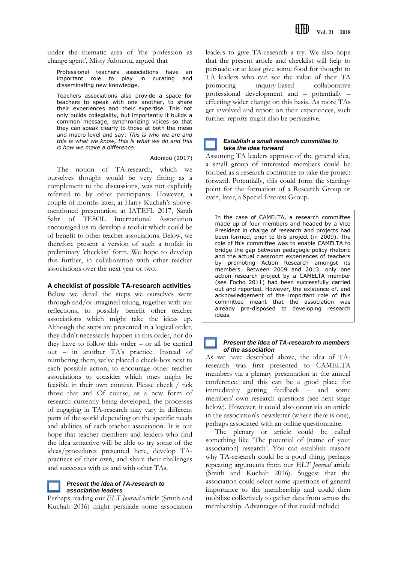under the thematic area of 'the profession as change agent', Misty Adoniou, argued that

Professional teachers associations have an important role to play in curating and disseminating new knowledge.

Teachers associations also provide a space for teachers to speak with one another, to share their experiences and their expertise. This not only builds collegiality, but importantly it builds a common message, synchronizing voices so that they can speak clearly to those at both the meso and macro level and say: *This is who we are and this is what we know, this is what we do and this is how we make a difference*.

#### Adoniou (2017)

The notion of TA-research, which we ourselves thought would be very fitting as a complement to the discussions, was not explicitly referred to by other participants. However, a couple of months later, at Harry Kuchah's abovementioned presentation at IATEFL 2017, Sarah Sahr of TESOL International Association encouraged us to develop a toolkit which could be of benefit to other teacher associations. Below, we therefore present a version of such a toolkit in preliminary 'checklist' form. We hope to develop this further, in collaboration with other teacher associations over the next year or two.

## **A checklist of possible TA-research activities**

Below we detail the steps we ourselves went through and/or imagined taking, together with our reflections, to possibly benefit other teacher associations which might take the ideas up. Although the steps are presented in a logical order, they didn't necessarily happen in this order, nor do they have to follow this order – or all be carried out – in another TA's practice. Instead of numbering them, we've placed a check-box next to each possible action, to encourage other teacher associations to consider which ones might be feasible in their own context. Please check / tick those that are! Of course, as a new form of research currently being developed, the processes of engaging in TA-research may vary in different parts of the world depending on the specific needs and abilities of each teacher association. It is our hope that teacher members and leaders who find the idea attractive will be able to try some of the ideas/procedures presented here, develop TApractices of their own, and share their challenges and successes with us and with other TAs.

## *Present the idea of TA-research to association leaders*

Perhaps reading our *ELT Journal* article (Smith and Kuchah 2016) might persuade some association

leaders to give TA-research a try. We also hope that the present article and checklist will help to persuade or at least give some food for thought to TA leaders who can see the value of their TA promoting inquiry-based collaborative professional development and – potentially – effecting wider change on this basis. As more TAs get involved and report on their experiences, such further reports might also be persuasive.

## *Establish a small research committee to take the idea forward*

Assuming TA leaders approve of the general idea, a small group of interested members could be formed as a research committee to take the project forward. Potentially, this could form the startingpoint for the formation of a Research Group or even, later, a Special Interest Group.

In the case of CAMELTA, a research committee made up of four members and headed by a Vice President in charge of research and projects had been formed, prior to this project (in 2009). The role of this committee was to enable CAMELTA to bridge the gap between pedagogic policy rhetoric and the actual classroom experiences of teachers by promoting Action Research amongst its members. Between 2009 and 2013, only one action research project by a CAMELTA member (see Focho 2011) had been successfully carried out and reported. However, the existence of, and acknowledgement of the important role of this committee meant that the association was already pre-disposed to developing research ideas.

### *Present the idea of TA-research to members of the association*

As we have described above, the idea of TAresearch was first presented to CAMELTA members via a plenary presentation at the annual conference, and this can be a good place for immediately getting feedback – and some members' own research questions (see next stage below). However, it could also occur via an article in the association's newsletter (where there is one), perhaps associated with an online questionnaire.

The plenary or article could be called something like 'The potential of [name of your association] research'. You can establish reasons why TA-research could be a good thing, perhaps repeating arguments from our *ELT Journal* article (Smith and Kuchah 2016). Suggest that the association could select some questions of general importance to the membership and could then mobilize collectively to gather data from across the membership. Advantages of this could include: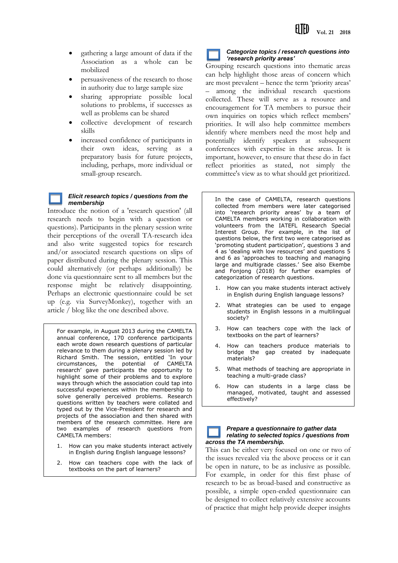- gathering a large amount of data if the Association as a whole can be mobilized
- persuasiveness of the research to those in authority due to large sample size
- sharing appropriate possible local solutions to problems, if successes as well as problems can be shared
- collective development of research skills
- increased confidence of participants in their own ideas, serving as a preparatory basis for future projects, including, perhaps, more individual or small-group research.

### *Elicit research topics / questions from the membership*

Introduce the notion of a 'research question' (all research needs to begin with a question or questions). Participants in the plenary session write their perceptions of the overall TA-research idea and also write suggested topics for research and/or associated research questions on slips of paper distributed during the plenary session. This could alternatively (or perhaps additionally) be done via questionnaire sent to all members but the response might be relatively disappointing. Perhaps an electronic questionnaire could be set up (e.g. via SurveyMonkey), together with an article / blog like the one described above.

For example, in August 2013 during the CAMELTA annual conference, 170 conference participants each wrote down research questions of particular relevance to them during a plenary session led by Richard Smith. The session, entitled 'In your circumstances, the potential of CAMELTA research' gave participants the opportunity to highlight some of their problems and to explore ways through which the association could tap into successful experiences within the membership to solve generally perceived problems. Research questions written by teachers were collated and typed out by the Vice-President for research and projects of the association and then shared with members of the research committee. Here are two examples of research questions from CAMELTA members:

- 1. How can you make students interact actively in English during English language lessons?
- 2. How can teachers cope with the lack of textbooks on the part of learners?

$$
\mathbb{Z}^{\mathbb{Z}}
$$

### *Categorize topics / research questions into 'research priority areas'*

Grouping research questions into thematic areas can help highlight those areas of concern which are most prevalent – hence the term 'priority areas' – among the individual research questions collected. These will serve as a resource and encouragement for TA members to pursue their own inquiries on topics which reflect members' priorities. It will also help committee members identify where members need the most help and potentially identify speakers at subsequent conferences with expertise in these areas. It is important, however, to ensure that these do in fact reflect priorities as stated, not simply the committee's view as to what should get prioritized.

In the case of CAMELTA, research questions collected from members were later categorised into 'research priority areas' by a team of CAMELTA members working in collaboration with volunteers from the IATEFL Research Special Interest Group. For example, in the list of questions below, the first two were categorised as 'promoting student participation', questions 3 and 4 as 'dealing with low resources' and questions 5 and 6 as 'approaches to teaching and managing large and multigrade classes.' See also Ekembe and Fonjong (2018) for further examples of categorization of research questions.

- 1. How can you make students interact actively in English during English language lessons?
- 2. What strategies can be used to engage students in English lessons in a multilingual society?
- 3. How can teachers cope with the lack of textbooks on the part of learners?
- 4. How can teachers produce materials to bridge the gap created by inadequate materials?
- 5. What methods of teaching are appropriate in teaching a multi-grade class?
- 6. How can students in a large class be managed, motivated, taught and assessed effectively?

#### *Prepare a questionnaire to gather data relating to selected topics / questions from across the TA membership.*

This can be either very focused on one or two of the issues revealed via the above process or it can be open in nature, to be as inclusive as possible. For example, in order for this first phase of research to be as broad-based and constructive as possible, a simple open-ended questionnaire can be designed to collect relatively extensive accounts of practice that might help provide deeper insights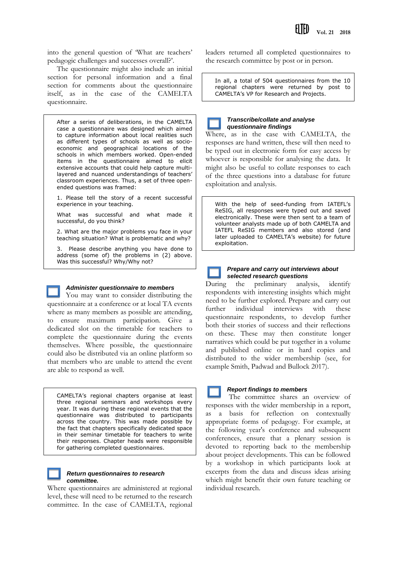into the general question of 'What are teachers' pedagogic challenges and successes overall?'.

The questionnaire might also include an initial section for personal information and a final section for comments about the questionnaire itself, as in the case of the CAMELTA questionnaire.

After a series of deliberations, in the CAMELTA case a questionnaire was designed which aimed to capture information about local realities such as different types of schools as well as socioeconomic and geographical locations of the schools in which members worked. Open-ended items in the questionnaire aimed to elicit extensive accounts that could help capture multilayered and nuanced understandings of teachers' classroom experiences. Thus, a set of three openended questions was framed:

1. Please tell the story of a recent successful experience in your teaching.

What was successful and what made it successful, do you think?

2. What are the major problems you face in your teaching situation? What is problematic and why?

3. Please describe anything you have done to address (some of) the problems in (2) above. Was this successful? Why/Why not?



## *Administer questionnaire to members*

You may want to consider distributing the questionnaire at a conference or at local TA events where as many members as possible are attending, to ensure maximum participation. Give a dedicated slot on the timetable for teachers to complete the questionnaire during the events themselves. Where possible, the questionnaire could also be distributed via an online platform so that members who are unable to attend the event are able to respond as well.

CAMELTA's regional chapters organise at least three regional seminars and workshops every year. It was during these regional events that the questionnaire was distributed to participants across the country. This was made possible by the fact that chapters specifically dedicated space in their seminar timetable for teachers to write their responses. Chapter heads were responsible for gathering completed questionnaires.



#### *Return questionnaires to research committee.*

Where questionnaires are administered at regional level, these will need to be returned to the research committee. In the case of CAMELTA, regional

leaders returned all completed questionnaires to the research committee by post or in person.

In all, a total of 504 questionnaires from the 10 regional chapters were returned by post to CAMELTA's VP for Research and Projects.



Where, as in the case with CAMELTA, the responses are hand written, these will then need to be typed out in electronic form for easy access by whoever is responsible for analysing the data. It might also be useful to collate responses to each of the three questions into a database for future exploitation and analysis.

With the help of seed-funding from IATEFL's ReSIG, all responses were typed out and saved electronically. These were then sent to a team of volunteer analysts made up of both CAMELTA and IATEFL ReSIG members and also stored (and later uploaded to CAMELTA's website) for future exploitation.

## *Prepare and carry out interviews about selected research questions*

During the preliminary analysis, identify respondents with interesting insights which might need to be further explored. Prepare and carry out further individual interviews with these questionnaire respondents, to develop further both their stories of success and their reflections on these. These may then constitute longer narratives which could be put together in a volume and published online or in hard copies and distributed to the wider membership (see, for example Smith, Padwad and Bullock 2017).

## *Report findings to members*

The committee shares an overview of responses with the wider membership in a report, as a basis for reflection on contextually appropriate forms of pedagogy. For example, at the following year's conference and subsequent conferences, ensure that a plenary session is devoted to reporting back to the membership about project developments. This can be followed by a workshop in which participants look at excerpts from the data and discuss ideas arising which might benefit their own future teaching or individual research.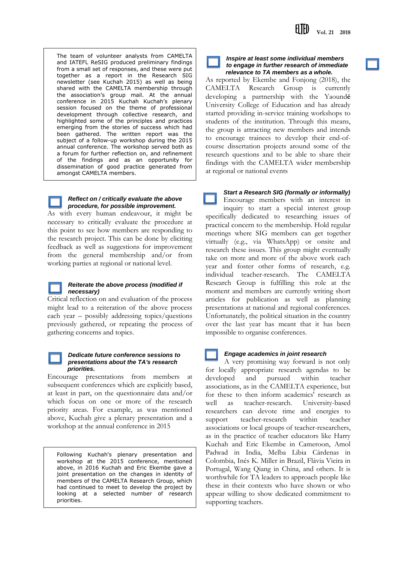The team of volunteer analysts from CAMELTA and IATEFL ReSIG produced preliminary findings from a small set of responses, and these were put together as a report in the Research SIG newsletter (see Kuchah 2015) as well as being shared with the CAMELTA membership through the association's group mail. At the annual conference in 2015 Kuchah Kuchah's plenary session focused on the theme of professional development through collective research, and highlighted some of the principles and practices emerging from the stories of success which had been gathered. The written report was the subject of a follow-up workshop during the 2015 annual conference. The workshop served both as a forum for further reflection on, and refinement of the findings and as an opportunity for dissemination of good practice generated from amongst CAMELTA members.

### *Reflect on / critically evaluate the above procedure, for possible improvement.*

As with every human endeavour, it might be necessary to critically evaluate the procedure at this point to see how members are responding to the research project. This can be done by eliciting feedback as well as suggestions for improvement from the general membership and/or from working parties at regional or national level.



#### *Reiterate the above process (modified if necessary)*

Critical reflection on and evaluation of the process might lead to a reiteration of the above process each year – possibly addressing topics/questions previously gathered, or repeating the process of gathering concerns and topics.

#### *Dedicate future conference sessions to presentations about the TA's research priorities.*

Encourage presentations from members at subsequent conferences which are explicitly based, at least in part, on the questionnaire data and/or which focus on one or more of the research priority areas. For example, as was mentioned above, Kuchah give a plenary presentation and a workshop at the annual conference in 2015

Following Kuchah's plenary presentation and workshop at the 2015 conference, mentioned above, in 2016 Kuchah and Eric Ekembe gave a joint presentation on the changes in identity of members of the CAMELTA Research Group, which had continued to meet to develop the project by looking at a selected number of research priorities.

*Inspire at least some individual members to engage in further research of immediate relevance to TA members as a whole.*

As reported by Ekembe and Fonjong (2018), the CAMELTA Research Group is currently developing a partnership with the Yaound**é** University College of Education and has already started providing in-service training workshops to students of the institution. Through this means, the group is attracting new members and intends to encourage trainees to develop their end-ofcourse dissertation projects around some of the research questions and to be able to share their findings with the CAMELTA wider membership at regional or national events

## *Start a Research SIG (formally or informally)*

Encourage members with an interest in inquiry to start a special interest group specifically dedicated to researching issues of practical concern to the membership. Hold regular meetings where SIG members can get together virtually (e.g., via WhatsApp) or onsite and research these issues. This group might eventually take on more and more of the above work each year and foster other forms of research, e.g. individual teacher-research. The CAMELTA Research Group is fulfilling this role at the moment and members are currently writing short articles for publication as well as planning presentations at national and regional conferences. Unfortunately, the political situation in the country over the last year has meant that it has been impossible to organise conferences.

## *Engage academics in joint research*

A very promising way forward is not only for locally appropriate research agendas to be developed and pursued within teacher associations, as in the CAMELTA experience, but for these to then inform academics' research as well as teacher-research. University-based researchers can devote time and energies to support teacher-research within teacher associations or local groups of teacher-researchers, as in the practice of teacher educators like Harry Kuchah and Eric Ekembe in Cameroon, Amol Padwad in India, Melba Libia Cárdenas in Colombia, Inés K. Miller in Brazil, Flávia Vieira in Portugal, Wang Qiang in China, and others. It is worthwhile for TA leaders to approach people like these in their contexts who have shown or who appear willing to show dedicated commitment to supporting teachers.